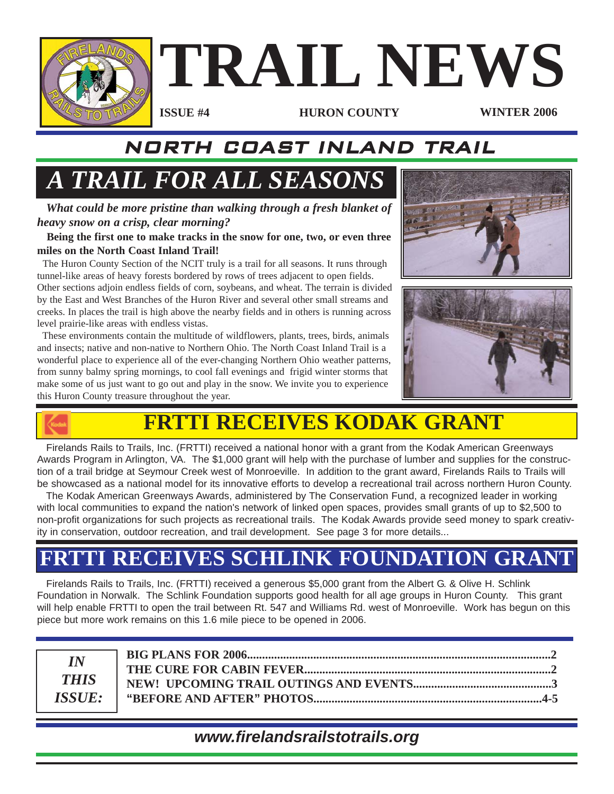

## NORTH COAST INLAND TRAIL

# *A TRAIL FOR ALL SEASONS*

*What could be more pristine than walking through a fresh blanket of heavy snow on a crisp, clear morning?*

**Being the first one to make tracks in the snow for one, two, or even three miles on the North Coast Inland Trail!**

The Huron County Section of the NCIT truly is a trail for all seasons. It runs through tunnel-like areas of heavy forests bordered by rows of trees adjacent to open fields.

Other sections adjoin endless fields of corn, soybeans, and wheat. The terrain is divided by the East and West Branches of the Huron River and several other small streams and creeks. In places the trail is high above the nearby fields and in others is running across level prairie-like areas with endless vistas.

These environments contain the multitude of wildflowers, plants, trees, birds, animals and insects; native and non-native to Northern Ohio. The North Coast Inland Trail is a wonderful place to experience all of the ever-changing Northern Ohio weather patterns, from sunny balmy spring mornings, to cool fall evenings and frigid winter storms that make some of us just want to go out and play in the snow. We invite you to experience this Huron County treasure throughout the year.







# **FRTTI RECEIVES KODAK GRANT**

Firelands Rails to Trails, Inc. (FRTTI) received a national honor with a grant from the Kodak American Greenways Awards Program in Arlington, VA. The \$1,000 grant will help with the purchase of lumber and supplies for the construction of a trail bridge at Seymour Creek west of Monroeville. In addition to the grant award, Firelands Rails to Trails will be showcased as a national model for its innovative efforts to develop a recreational trail across northern Huron County.

The Kodak American Greenways Awards, administered by The Conservation Fund, a recognized leader in working with local communities to expand the nation's network of linked open spaces, provides small grants of up to \$2,500 to non-profit organizations for such projects as recreational trails. The Kodak Awards provide seed money to spark creativity in conservation, outdoor recreation, and trail development. See page 3 for more details...

# **FRTTI RECEIVES SCHLINK FOUNDATION GRANT**

Firelands Rails to Trails, Inc. (FRTTI) received a generous \$5,000 grant from the Albert G. & Olive H. Schlink Foundation in Norwalk. The Schlink Foundation supports good health for all age groups in Huron County. This grant will help enable FRTTI to open the trail between Rt. 547 and Williams Rd. west of Monroeville. Work has begun on this piece but more work remains on this 1.6 mile piece to be opened in 2006.

| $\overline{IN}$      |  |
|----------------------|--|
|                      |  |
| <b>THIS</b>          |  |
| <i><b>ISSUE:</b></i> |  |

#### *www.firelandsrailstotrails.org*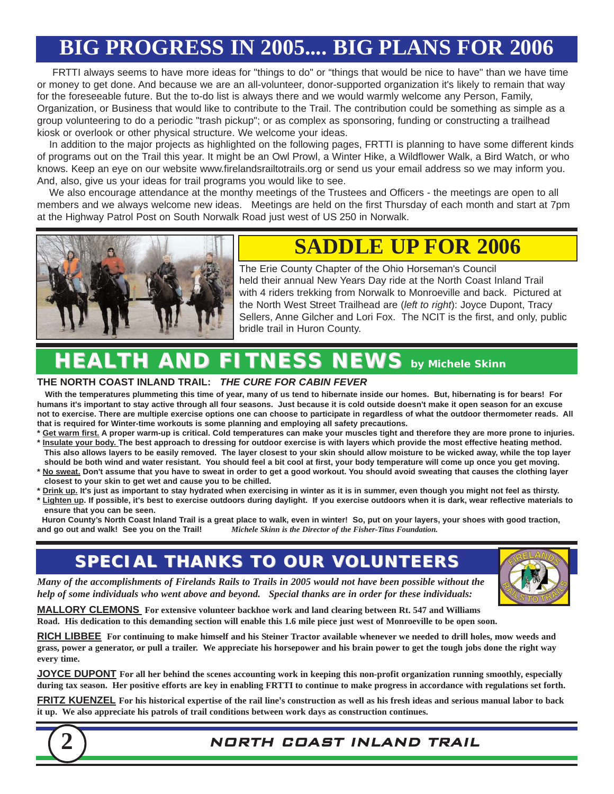# **BIG PROGRESS IN 2005.... BIG PLANS FOR 2006**

FRTTI always seems to have more ideas for "things to do" or "things that would be nice to have" than we have time or money to get done. And because we are an all-volunteer, donor-supported organization it's likely to remain that way for the foreseeable future. But the to-do list is always there and we would warmly welcome any Person, Family, Organization, or Business that would like to contribute to the Trail. The contribution could be something as simple as a group volunteering to do a periodic "trash pickup"; or as complex as sponsoring, funding or constructing a trailhead kiosk or overlook or other physical structure. We welcome your ideas.

In addition to the major projects as highlighted on the following pages, FRTTI is planning to have some different kinds of programs out on the Trail this year. It might be an Owl Prowl, a Winter Hike, a Wildflower Walk, a Bird Watch, or who knows. Keep an eye on our website www.firelandsrailtotrails.org or send us your email address so we may inform you. And, also, give us your ideas for trail programs you would like to see.

We also encourage attendance at the monthy meetings of the Trustees and Officers - the meetings are open to all members and we always welcome new ideas. Meetings are held on the first Thursday of each month and start at 7pm at the Highway Patrol Post on South Norwalk Road just west of US 250 in Norwalk.



## **SADDLE UP FOR 2006**

The Erie County Chapter of the Ohio Horseman's Council held their annual New Years Day ride at the North Coast Inland Trail with 4 riders trekking from Norwalk to Monroeville and back. Pictured at the North West Street Trailhead are (*left to right*): Joyce Dupont, Tracy Sellers, Anne Gilcher and Lori Fox. The NCIT is the first, and only, public bridle trail in Huron County.

# *HEALTH AND FITNESS NEWS HEALTH AND FITNESS NEWS by Michele Skinn*

#### **THE NORTH COAST INLAND TRAIL:** *THE CURE FOR CABIN FEVER*

**With the temperatures plummeting this time of year, many of us tend to hibernate inside our homes. But, hibernating is for bears! For humans it's important to stay active through all four seasons. Just because it is cold outside doesn't make it open season for an excuse not to exercise. There are multiple exercise options one can choose to participate in regardless of what the outdoor thermometer reads. All that is required for Winter-time workouts is some planning and employing all safety precautions.** 

**\* Get warm first. A proper warm-up is critical. Cold temperatures can make your muscles tight and therefore they are more prone to injuries.** 

- **\* Insulate your body. The best approach to dressing for outdoor exercise is with layers which provide the most effective heating method. This also allows layers to be easily removed. The layer closest to your skin should allow moisture to be wicked away, while the top layer should be both wind and water resistant. You should feel a bit cool at first, your body temperature will come up once you get moving.**
- **\* No sweat. Don't assume that you have to sweat in order to get a good workout. You should avoid sweating that causes the clothing layer closest to your skin to get wet and cause you to be chilled.**
- **\* Drink up. It's just as important to stay hydrated when exercising in winter as it is in summer, even though you might not feel as thirsty. \* Lighten up. If possible, it's best to exercise outdoors during daylight. If you exercise outdoors when it is dark, wear reflective materials to**

**ensure that you can be seen.** Huron County's North Coast Inland Trail is a great place to walk, even in winter! So, put on your layers, your shoes with good traction, and go out and walk! See you on the Trail! *Michele Skinn is the Director of the Fish* **and go out and walk! See you on the Trail!** *Michele Skinn is the Director of the Fisher-Titus Foundation.*

## **SPECIAL THANKS TO OUR VOLUNTEERS SPECIAL THANKS TO OUR VOLUNTEERS**

*Many of the accomplishments of Firelands Rails to Trails in 2005 would not have been possible without the help of some individuals who went above and beyond. Special thanks are in order for these individuals:*

**MALLORY CLEMONS For extensive volunteer backhoe work and land clearing between Rt. 547 and Williams Road. His dedication to this demanding section will enable this 1.6 mile piece just west of Monroeville to be open soon.**

**RICH LIBBEE For continuing to make himself and his Steiner Tractor available whenever we needed to drill holes, mow weeds and grass, power a generator, or pull a trailer. We appreciate his horsepower and his brain power to get the tough jobs done the right way every time.**

**JOYCE DUPONT For all her behind the scenes accounting work in keeping this non-profit organization running smoothly, especially during tax season. Her positive efforts are key in enabling FRTTI to continue to make progress in accordance with regulations set forth.**

**FRITZ KUENZEL For his historical expertise of the rail line's construction as well as his fresh ideas and serious manual labor to back it up. We also appreciate his patrols of trail conditions between work days as construction continues.**





#### **2** NORTH COAST INLAND TRAIL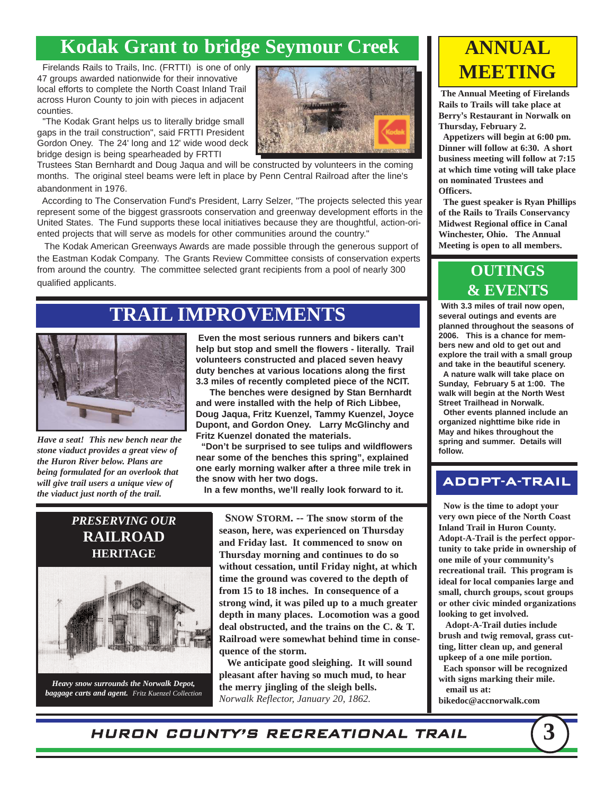### **Kodak Grant to bridge Seymour Creek**

Firelands Rails to Trails, Inc. (FRTTI) is one of only 47 groups awarded nationwide for their innovative local efforts to complete the North Coast Inland Trail across Huron County to join with pieces in adjacent counties.

"The Kodak Grant helps us to literally bridge small gaps in the trail construction", said FRTTI President Gordon Oney. The 24' long and 12' wide wood deck bridge design is being spearheaded by FRTTI

Trustees Stan Bernhardt and Doug Jaqua and will be constructed by volunteers in the coming months. The original steel beams were left in place by Penn Central Railroad after the line's abandonment in 1976.

According to The Conservation Fund's President, Larry Selzer, "The projects selected this year represent some of the biggest grassroots conservation and greenway development efforts in the United States. The Fund supports these local initiatives because they are thoughtful, action-oriented projects that will serve as models for other communities around the country."

The Kodak American Greenways Awards are made possible through the generous support of the Eastman Kodak Company. The Grants Review Committee consists of conservation experts from around the country. The committee selected grant recipients from a pool of nearly 300 qualified applicants.

### **TRAIL IMPROVEMENTS**



*Have a seat! This new bench near the stone viaduct provides a great view of the Huron River below. Plans are being formulated for an overlook that will give trail users a unique view of the viaduct just north of the trail.*

**Even the most serious runners and bikers can't help but stop and smell the flowers - literally. Trail volunteers constructed and placed seven heavy duty benches at various locations along the first 3.3 miles of recently completed piece of the NCIT.** 

**The benches were designed by Stan Bernhardt and were installed with the help of Rich Libbee, Doug Jaqua, Fritz Kuenzel, Tammy Kuenzel, Joyce Dupont, and Gordon Oney. Larry McGlinchy and Fritz Kuenzel donated the materials.**

**"Don't be surprised to see tulips and wildflowers near some of the benches this spring", explained one early morning walker after a three mile trek in the snow with her two dogs.** 

**In a few months, we'll really look forward to it.** 



*Heavy snow surrounds the Norwalk Depot, baggage carts and agent. Fritz Kuenzel Collection*

**SNOW STORM. -- The snow storm of the season, here, was experienced on Thursday and Friday last. It commenced to snow on Thursday morning and continues to do so without cessation, until Friday night, at which time the ground was covered to the depth of from 15 to 18 inches. In consequence of a strong wind, it was piled up to a much greater depth in many places. Locomotion was a good deal obstructed, and the trains on the C. & T. Railroad were somewhat behind time in consequence of the storm.**

**We anticipate good sleighing. It will sound pleasant after having so much mud, to hear the merry jingling of the sleigh bells.** *Norwalk Reflector, January 20, 1862.*

## **ANNUAL MEETING**

**The Annual Meeting of Firelands Rails to Trails will take place at Berry's Restaurant in Norwalk on Thursday, February 2.** 

**Appetizers will begin at 6:00 pm. Dinner will follow at 6:30. A short business meeting will follow at 7:15 at which time voting will take place on nominated Trustees and Officers.** 

**The guest speaker is Ryan Phillips of the Rails to Trails Conservancy Midwest Regional office in Canal Winchester, Ohio. The Annual Meeting is open to all members.** 

#### **OUTINGS & EVENTS**

**With 3.3 miles of trail now open, several outings and events are planned throughout the seasons of 2006. This is a chance for members new and old to get out and explore the trail with a small group and take in the beautiful scenery. A nature walk will take place on**

**Sunday, February 5 at 1:00. The walk will begin at the North West Street Trailhead in Norwalk.**

**Other events planned include an organized nighttime bike ride in May and hikes throughout the spring and summer. Details will follow.**

#### ADOPT-A-TRAIL

**Now is the time to adopt your very own piece of the North Coast Inland Trail in Huron County. Adopt-A-Trail is the perfect opportunity to take pride in ownership of one mile of your community's recreational trail. This program is ideal for local companies large and small, church groups, scout groups or other civic minded organizations looking to get involved.**

**Adopt-A-Trail duties include brush and twig removal, grass cutting, litter clean up, and general upkeep of a one mile portion.**

**Each sponsor will be recognized with signs marking their mile. email us at:**

**bikedoc@accnorwalk.com**

HURON COUNTY'S RECREATIONAL TRAIL **3**

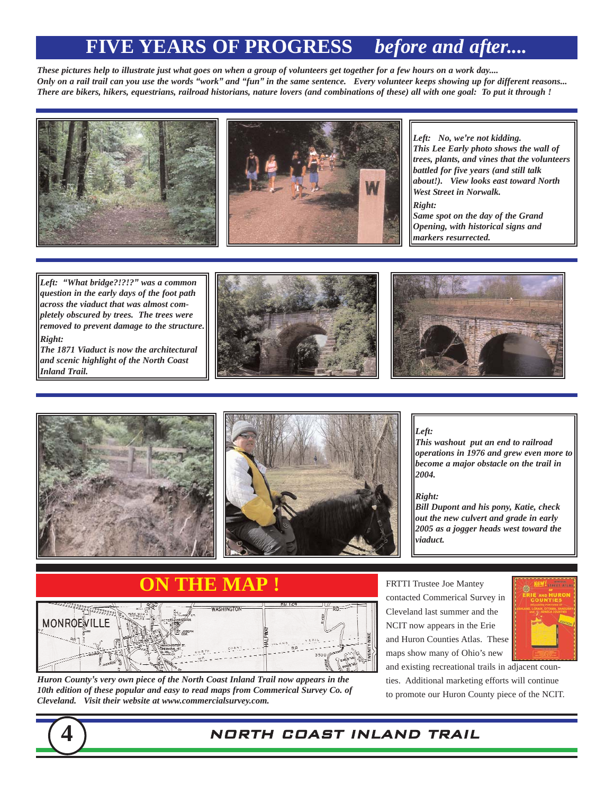### **FIVE YEARS OF PROGRESS** *before and after....*

*These pictures help to illustrate just what goes on when a group of volunteers get together for a few hours on a work day.... Only on a rail trail can you use the words "work" and "fun" in the same sentence. Every volunteer keeps showing up for different reasons... There are bikers, hikers, equestrians, railroad historians, nature lovers (and combinations of these) all with one goal: To put it through !*



*Left: No, we're not kidding. This Lee Early photo shows the wall of trees, plants, and vines that the volunteers battled for five years (and still talk about!). View looks east toward North West Street in Norwalk. Right:*

*Same spot on the day of the Grand Opening, with historical signs and markers resurrected.*

*Left: "What bridge?!?!?" was a common question in the early days of the foot path across the viaduct that was almost completely obscured by trees. The trees were removed to prevent damage to the structure. Right:*

*The 1871 Viaduct is now the architectural and scenic highlight of the North Coast Inland Trail.*









*Left:*

*This washout put an end to railroad operations in 1976 and grew even more to become a major obstacle on the trail in 2004.* 

*Right:*

*Bill Dupont and his pony, Katie, check out the new culvert and grade in early 2005 as a jogger heads west toward the viaduct.*

## **ON THE MAP !**



*Huron County's very own piece of the North Coast Inland Trail now appears in the 10th edition of these popular and easy to read maps from Commerical Survey Co. of Cleveland. Visit their website at www.commercialsurvey.com.* 

FRTTI Trustee Joe Mantey contacted Commerical Survey in Cleveland last summer and the NCIT now appears in the Erie and Huron Counties Atlas. These maps show many of Ohio's new



and existing recreational trails in adjacent counties. Additional marketing efforts will continue to promote our Huron County piece of the NCIT.

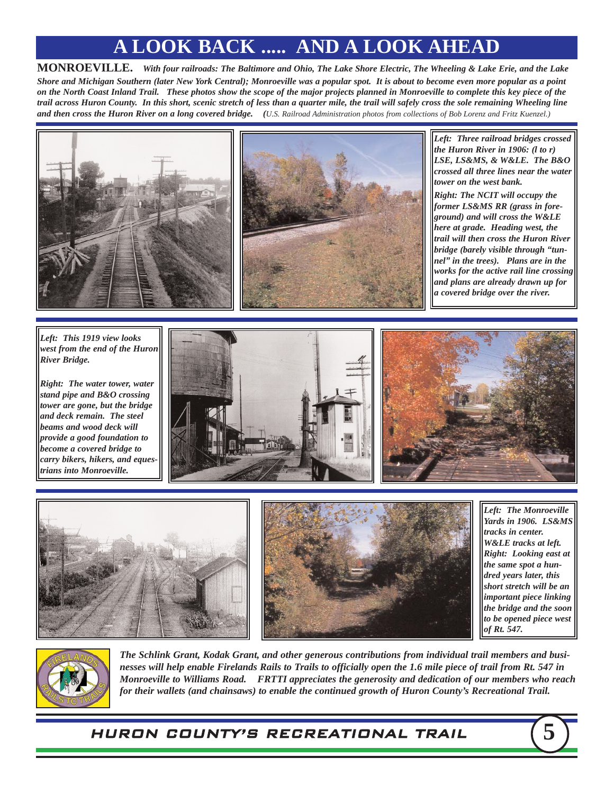## **A LOOK BACK ..... AND A LOOK AHEAD**

**MONROEVILLE.** *With four railroads: The Baltimore and Ohio, The Lake Shore Electric, The Wheeling & Lake Erie, and the Lake Shore and Michigan Southern (later New York Central); Monroeville was a popular spot. It is about to become even more popular as a point on the North Coast Inland Trail. These photos show the scope of the major projects planned in Monroeville to complete this key piece of the trail across Huron County. In this short, scenic stretch of less than a quarter mile, the trail will safely cross the sole remaining Wheeling line and then cross the Huron River on a long covered bridge. (U.S. Railroad Administration photos from collections of Bob Lorenz and Fritz Kuenzel.)*





*Left: Three railroad bridges crossed the Huron River in 1906: (l to r) LSE, LS&MS, & W&LE. The B&O crossed all three lines near the water tower on the west bank.* 

*Right: The NCIT will occupy the former LS&MS RR (grass in foreground) and will cross the W&LE here at grade. Heading west, the trail will then cross the Huron River bridge (barely visible through "tunnel" in the trees). Plans are in the works for the active rail line crossing and plans are already drawn up for a covered bridge over the river.*

*Left: This 1919 view looks west from the end of the Huron River Bridge.* 

*Right: The water tower, water stand pipe and B&O crossing tower are gone, but the bridge and deck remain. The steel beams and wood deck will provide a good foundation to become a covered bridge to carry bikers, hikers, and equestrians into Monroeville.*









*Left: The Monroeville Yards in 1906. LS&MS tracks in center. W&LE tracks at left. Right: Looking east at the same spot a hundred years later, this short stretch will be an important piece linking the bridge and the soon to be opened piece west of Rt. 547.*



*The Schlink Grant, Kodak Grant, and other generous contributions from individual trail members and businesses will help enable Firelands Rails to Trails to officially open the 1.6 mile piece of trail from Rt. 547 in Monroeville to Williams Road. FRTTI appreciates the generosity and dedication of our members who reach for their wallets (and chainsaws) to enable the continued growth of Huron County's Recreational Trail.* 

HURON COUNTY'S RECREATIONAL TRAIL **5**